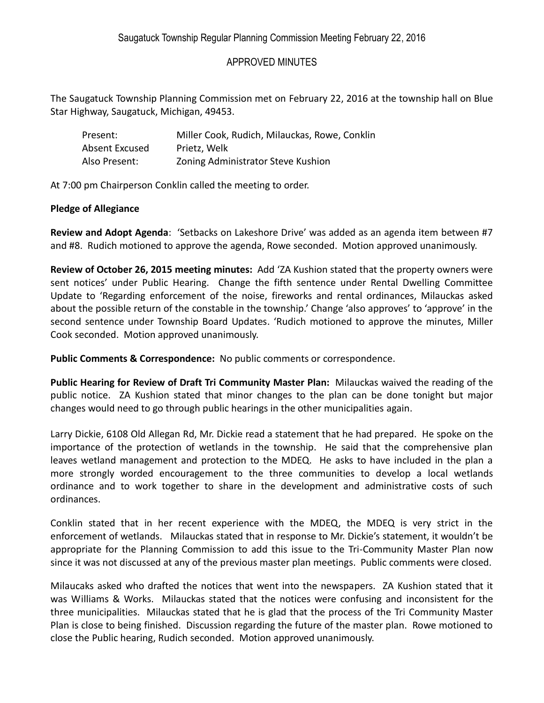## APPROVED MINUTES

The Saugatuck Township Planning Commission met on February 22, 2016 at the township hall on Blue Star Highway, Saugatuck, Michigan, 49453.

| Present:       | Miller Cook, Rudich, Milauckas, Rowe, Conklin |
|----------------|-----------------------------------------------|
| Absent Excused | Prietz, Welk                                  |
| Also Present:  | Zoning Administrator Steve Kushion            |

At 7:00 pm Chairperson Conklin called the meeting to order.

## **Pledge of Allegiance**

**Review and Adopt Agenda**: 'Setbacks on Lakeshore Drive' was added as an agenda item between #7 and #8. Rudich motioned to approve the agenda, Rowe seconded. Motion approved unanimously.

**Review of October 26, 2015 meeting minutes:** Add 'ZA Kushion stated that the property owners were sent notices' under Public Hearing. Change the fifth sentence under Rental Dwelling Committee Update to 'Regarding enforcement of the noise, fireworks and rental ordinances, Milauckas asked about the possible return of the constable in the township.' Change 'also approves' to 'approve' in the second sentence under Township Board Updates. 'Rudich motioned to approve the minutes, Miller Cook seconded. Motion approved unanimously.

**Public Comments & Correspondence:** No public comments or correspondence.

**Public Hearing for Review of Draft Tri Community Master Plan:** Milauckas waived the reading of the public notice. ZA Kushion stated that minor changes to the plan can be done tonight but major changes would need to go through public hearings in the other municipalities again.

Larry Dickie, 6108 Old Allegan Rd, Mr. Dickie read a statement that he had prepared. He spoke on the importance of the protection of wetlands in the township. He said that the comprehensive plan leaves wetland management and protection to the MDEQ. He asks to have included in the plan a more strongly worded encouragement to the three communities to develop a local wetlands ordinance and to work together to share in the development and administrative costs of such ordinances.

Conklin stated that in her recent experience with the MDEQ, the MDEQ is very strict in the enforcement of wetlands. Milauckas stated that in response to Mr. Dickie's statement, it wouldn't be appropriate for the Planning Commission to add this issue to the Tri-Community Master Plan now since it was not discussed at any of the previous master plan meetings. Public comments were closed.

Milaucaks asked who drafted the notices that went into the newspapers. ZA Kushion stated that it was Williams & Works. Milauckas stated that the notices were confusing and inconsistent for the three municipalities. Milauckas stated that he is glad that the process of the Tri Community Master Plan is close to being finished. Discussion regarding the future of the master plan. Rowe motioned to close the Public hearing, Rudich seconded. Motion approved unanimously.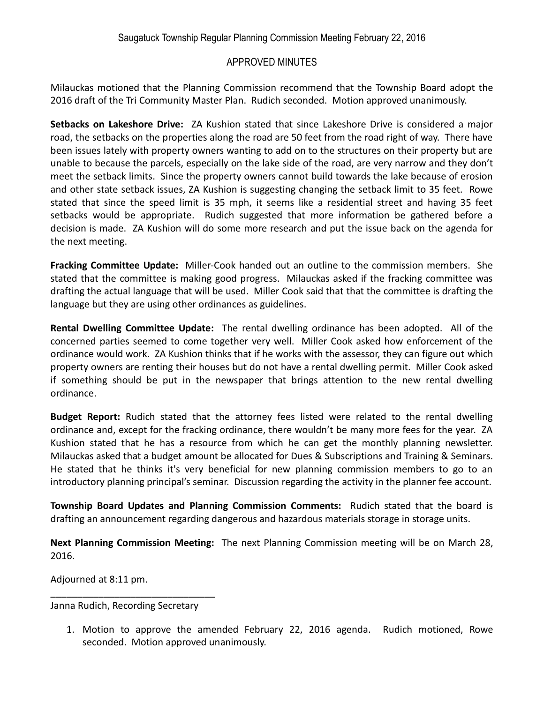## APPROVED MINUTES

Milauckas motioned that the Planning Commission recommend that the Township Board adopt the 2016 draft of the Tri Community Master Plan. Rudich seconded. Motion approved unanimously.

**Setbacks on Lakeshore Drive:** ZA Kushion stated that since Lakeshore Drive is considered a major road, the setbacks on the properties along the road are 50 feet from the road right of way. There have been issues lately with property owners wanting to add on to the structures on their property but are unable to because the parcels, especially on the lake side of the road, are very narrow and they don't meet the setback limits. Since the property owners cannot build towards the lake because of erosion and other state setback issues, ZA Kushion is suggesting changing the setback limit to 35 feet. Rowe stated that since the speed limit is 35 mph, it seems like a residential street and having 35 feet setbacks would be appropriate. Rudich suggested that more information be gathered before a decision is made. ZA Kushion will do some more research and put the issue back on the agenda for the next meeting.

**Fracking Committee Update:** Miller-Cook handed out an outline to the commission members. She stated that the committee is making good progress. Milauckas asked if the fracking committee was drafting the actual language that will be used. Miller Cook said that that the committee is drafting the language but they are using other ordinances as guidelines.

**Rental Dwelling Committee Update:** The rental dwelling ordinance has been adopted. All of the concerned parties seemed to come together very well. Miller Cook asked how enforcement of the ordinance would work. ZA Kushion thinks that if he works with the assessor, they can figure out which property owners are renting their houses but do not have a rental dwelling permit. Miller Cook asked if something should be put in the newspaper that brings attention to the new rental dwelling ordinance.

**Budget Report:** Rudich stated that the attorney fees listed were related to the rental dwelling ordinance and, except for the fracking ordinance, there wouldn't be many more fees for the year. ZA Kushion stated that he has a resource from which he can get the monthly planning newsletter. Milauckas asked that a budget amount be allocated for Dues & Subscriptions and Training & Seminars. He stated that he thinks it's very beneficial for new planning commission members to go to an introductory planning principal's seminar. Discussion regarding the activity in the planner fee account.

**Township Board Updates and Planning Commission Comments:** Rudich stated that the board is drafting an announcement regarding dangerous and hazardous materials storage in storage units.

**Next Planning Commission Meeting:** The next Planning Commission meeting will be on March 28, 2016.

Adjourned at 8:11 pm.

Janna Rudich, Recording Secretary

\_\_\_\_\_\_\_\_\_\_\_\_\_\_\_\_\_\_\_\_\_\_\_\_\_\_\_\_\_\_\_

1. Motion to approve the amended February 22, 2016 agenda. Rudich motioned, Rowe seconded. Motion approved unanimously.